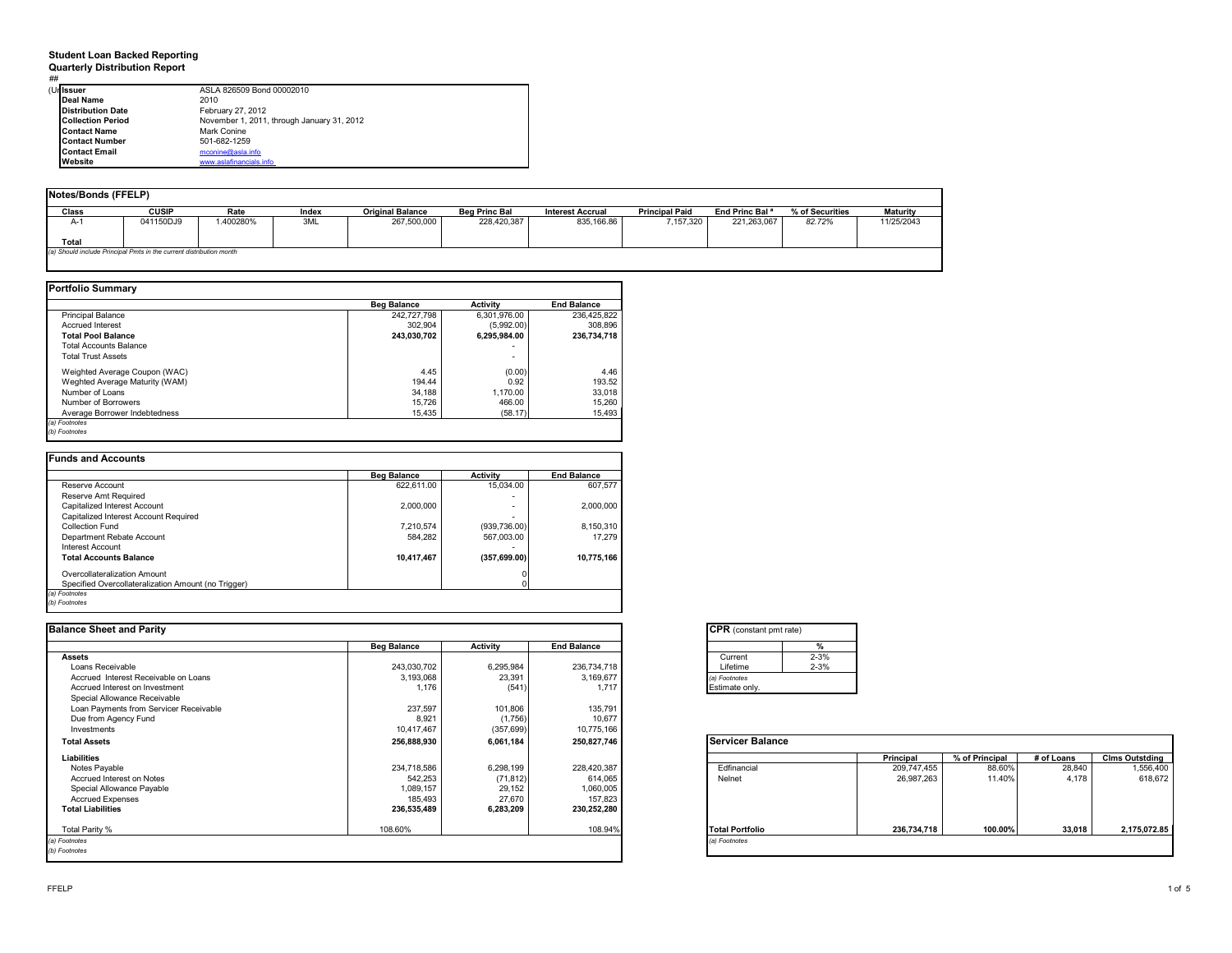### **Student Loan Backed Reporting**

**Quarterly Distribution Report** ##

| ASLA 826509 Bond 00002010                                                                                                                                                 |
|---------------------------------------------------------------------------------------------------------------------------------------------------------------------------|
| 2010                                                                                                                                                                      |
| February 27, 2012                                                                                                                                                         |
| November 1, 2011, through January 31, 2012                                                                                                                                |
| Mark Conine                                                                                                                                                               |
| 501-682-1259                                                                                                                                                              |
| mconine@asla.info                                                                                                                                                         |
| www.aslafinancials.info                                                                                                                                                   |
| (Urlissuer<br><b>Deal Name</b><br><b>Distribution Date</b><br><b>Collection Period</b><br><b>Contact Name</b><br><b>Contact Number</b><br><b>Contact Email</b><br>Website |

|                                                                     | Notes/Bonds (FFELP) |          |       |                         |                      |                         |                       |                            |                 |                 |  |  |  |
|---------------------------------------------------------------------|---------------------|----------|-------|-------------------------|----------------------|-------------------------|-----------------------|----------------------------|-----------------|-----------------|--|--|--|
| Class                                                               | <b>CUSIP</b>        | Rate     | Index | <b>Original Balance</b> | <b>Bea Princ Bal</b> | <b>Interest Accrual</b> | <b>Principal Paid</b> | End Princ Bal <sup>a</sup> | % of Securities | <b>Maturity</b> |  |  |  |
| A-1                                                                 | 041150DJ9           | .400280% | 3ML   | 267,500,000             | 228,420,387          | 835,166.86              | 7.157.320             | 221,263,067                | 82.72%          | 11/25/2043      |  |  |  |
| Total                                                               |                     |          |       |                         |                      |                         |                       |                            |                 |                 |  |  |  |
| (a) Should include Principal Pmts in the current distribution month |                     |          |       |                         |                      |                         |                       |                            |                 |                 |  |  |  |

|                                | <b>Beg Balance</b> | Activity                 | <b>End Balance</b> |
|--------------------------------|--------------------|--------------------------|--------------------|
| <b>Principal Balance</b>       | 242.727.798        | 6.301.976.00             | 236,425,822        |
| <b>Accrued Interest</b>        | 302.904            | (5.992.00)               | 308.896            |
| <b>Total Pool Balance</b>      | 243.030.702        | 6.295.984.00             | 236,734,718        |
| <b>Total Accounts Balance</b>  |                    | $\overline{\phantom{0}}$ |                    |
| <b>Total Trust Assets</b>      |                    | $\overline{\phantom{0}}$ |                    |
| Weighted Average Coupon (WAC)  | 4.45               | (0.00)                   | 4.46               |
| Weghted Average Maturity (WAM) | 194.44             | 0.92                     | 193.52             |
| Number of Loans                | 34.188             | 1.170.00                 | 33,018             |
| Number of Borrowers            | 15,726             | 466.00                   | 15,260             |
| Average Borrower Indebtedness  | 15.435             | (58.17)                  | 15,493             |

|                                                     | <b>Beg Balance</b> | <b>Activity</b> | <b>End Balance</b> |
|-----------------------------------------------------|--------------------|-----------------|--------------------|
| Reserve Account                                     | 622.611.00         | 15.034.00       | 607.577            |
| Reserve Amt Required                                |                    |                 |                    |
| Capitalized Interest Account                        | 2.000.000          | $\sim$          | 2,000,000          |
| Capitalized Interest Account Required               |                    |                 |                    |
| Collection Fund                                     | 7,210,574          | (939, 736.00)   | 8,150,310          |
| Department Rebate Account                           | 584.282            | 567.003.00      | 17.279             |
| Interest Account                                    |                    |                 |                    |
| <b>Total Accounts Balance</b>                       | 10,417,467         | (357, 699.00)   | 10,775,166         |
| Overcollateralization Amount                        |                    |                 |                    |
| Specified Overcollateralization Amount (no Trigger) |                    |                 |                    |

| <b>Balance Sheet and Parity</b>        |                    |            |                    | <b>CPR</b> (constant pmt rate) |          |             |                |            |                       |
|----------------------------------------|--------------------|------------|--------------------|--------------------------------|----------|-------------|----------------|------------|-----------------------|
|                                        | <b>Beg Balance</b> | Activity   | <b>End Balance</b> |                                |          |             |                |            |                       |
| <b>Assets</b>                          |                    |            |                    | Current                        | $2 - 3%$ |             |                |            |                       |
| Loans Receivable                       | 243.030.702        | 6.295.984  | 236.734.718        | Lifetime                       | $2 - 3%$ |             |                |            |                       |
| Accrued Interest Receivable on Loans   | 3,193,068          | 23,391     | 3,169,677          | (a) Footnotes                  |          |             |                |            |                       |
| Accrued Interest on Investment         | 1,176              | (541)      | 1,717              | Estimate only.                 |          |             |                |            |                       |
| Special Allowance Receivable           |                    |            |                    |                                |          |             |                |            |                       |
| Loan Payments from Servicer Receivable | 237,597            | 101,806    | 135,791            |                                |          |             |                |            |                       |
| Due from Agency Fund                   | 8,921              | (1,756)    | 10,677             |                                |          |             |                |            |                       |
| Investments                            | 10,417,467         | (357, 699) | 10,775,166         |                                |          |             |                |            |                       |
| <b>Total Assets</b>                    | 256,888,930        | 6,061,184  | 250,827,746        | <b>Servicer Balance</b>        |          |             |                |            |                       |
| Liabilities                            |                    |            |                    |                                |          | Principal   | % of Principal | # of Loans | <b>Clms Outstding</b> |
| Notes Payable                          | 234,718,586        | 6,298,199  | 228,420,387        | Edfinancial                    |          | 209,747,455 | 88.60%         | 28,840     | 1,556,400             |
| Accrued Interest on Notes              | 542.253            | (71, 812)  | 614,065            | Nelnet                         |          | 26,987,263  | 11.40%         | 4.178      | 618,672               |
| Special Allowance Payable              | 1,089,157          | 29,152     | 1,060,005          |                                |          |             |                |            |                       |
| <b>Accrued Expenses</b>                | 185,493            | 27,670     | 157,823            |                                |          |             |                |            |                       |
| <b>Total Liabilities</b>               | 236,535,489        | 6,283,209  | 230,252,280        |                                |          |             |                |            |                       |
| Total Parity %                         | 108.60%            |            | 108.94%            | <b>Total Portfolio</b>         |          | 236,734,718 | 100.00%        | 33,018     | 2,175,072.85          |
| (a) Footnotes                          |                    |            |                    | (a) Footnotes                  |          |             |                |            |                       |
| (b) Footnotes                          |                    |            |                    |                                |          |             |                |            |                       |
|                                        |                    |            |                    |                                |          |             |                |            |                       |

| <b>CPR</b> (constant pmt rate) |          |
|--------------------------------|----------|
|                                |          |
| Current                        | $2 - 3%$ |
| Lifetime                       | $2 - 3%$ |
| (a) Footnotes                  |          |
| Estimate only.                 |          |

|                        | Principal   | % of Principal | # of Loans | <b>Clms Outstding</b> |
|------------------------|-------------|----------------|------------|-----------------------|
| Edfinancial            | 209,747,455 | 88.60%         | 28.840     | 1,556,400             |
| Nelnet                 | 26,987,263  | 11.40%         | 4.178      | 618,672               |
| <b>Total Portfolio</b> | 236,734,718 | 100.00%        | 33.018     | 2,175,072.85          |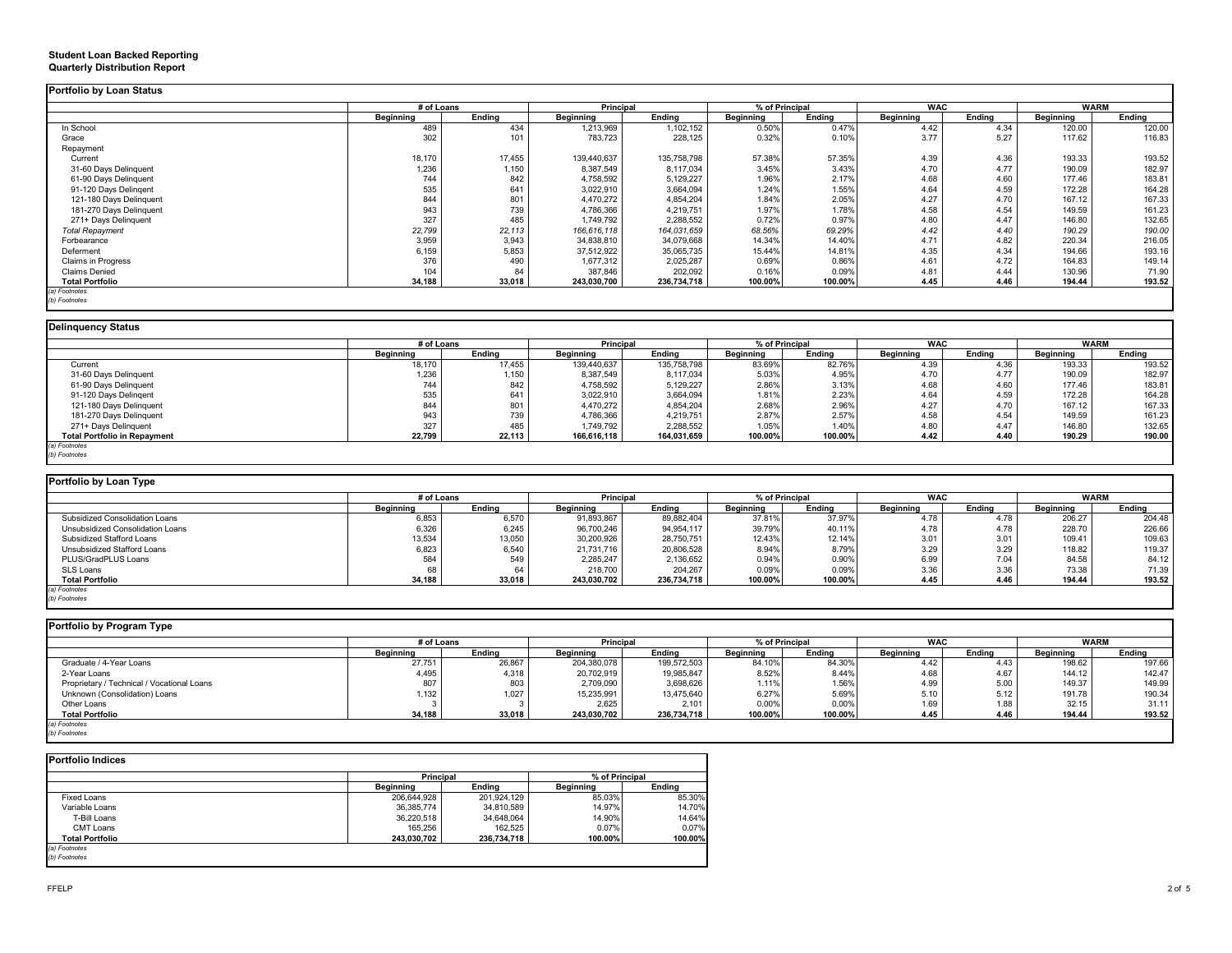|                         | # of Loans |        | Principal   |             | % of Principal   |         | <b>WAC</b> |        | <b>WARM</b> |        |
|-------------------------|------------|--------|-------------|-------------|------------------|---------|------------|--------|-------------|--------|
|                         | Beginning  | Endina | Beginning   | Ending      | <b>Beginning</b> | Ending  | Beginning  | Endina | Beginning   | Ending |
| In School               | 489        | 434    | 1,213,969   | 1,102,152   | 0.50%            | 0.47%   | 4.42       | 4.34   | 120.00      | 120.00 |
| Grace                   | 302        | 101    | 783,723     | 228,125     | 0.32%            | 0.10%   | 3.77       | 5.27   | 117.62      | 116.83 |
| Repayment               |            |        |             |             |                  |         |            |        |             |        |
| Current                 | 18,170     | 17,455 | 139,440,637 | 135,758,798 | 57.38%           | 57.35%  | 4.39       | 4.36   | 193.33      | 193.52 |
| 31-60 Days Delinquent   | 1,236      | 1,150  | 8,387,549   | 8,117,034   | 3.45%            | 3.43%   | 4.70       | 4.77   | 190.09      | 182.97 |
| 61-90 Days Delinquent   | 744        | 842    | 4,758,592   | 5,129,227   | 1.96%            | 2.17%   | 4.68       | 4.60   | 177.46      | 183.81 |
| 91-120 Days Delingent   | 535        | 641    | 3,022,910   | 3,664,094   | 1.24%            | 1.55%   | 4.64       | 4.59   | 172.28      | 164.28 |
| 121-180 Days Delinquent | 844        | 801    | 4,470,272   | 4,854,204   | 1.84%            | 2.05%   | 4.27       | 4.70   | 167.12      | 167.33 |
| 181-270 Days Delinguent | 943        | 739    | 4,786,366   | 4,219,751   | 1.97%            | 1.78%   | 4.58       | 4.54   | 149.59      | 161.23 |
| 271+ Days Delinguent    | 327        | 485    | 1,749,792   | 2,288,552   | 0.72%            | 0.97%   | 4.80       | 4.47   | 146.80      | 132.65 |
| <b>Total Repayment</b>  | 22,799     | 22,113 | 166,616,118 | 164,031,659 | 68.56%           | 69.29%  | 4.42       | 4.40   | 190.29      | 190.00 |
| Forbearance             | 3,959      | 3,943  | 34,838,810  | 34,079,668  | 14.34%           | 14.40%  | 4.71       | 4.82   | 220.34      | 216.05 |
| Deferment               | 6,159      | 5,853  | 37,512,922  | 35,065,735  | 15.44%           | 14.81%  | 4.35       | 4.34   | 194.66      | 193.16 |
| Claims in Progress      | 376        | 490    | 1,677,312   | 2,025,287   | 0.69%            | 0.86%   | 4.61       | 4.72   | 164.83      | 149.14 |
| <b>Claims Denied</b>    | 104        | 84     | 387,846     | 202,092     | 0.16%            | 0.09%   | 4.81       | 4.44   | 130.96      | 71.90  |
| <b>Total Portfolio</b>  | 34,188     | 33,018 | 243,030,700 | 236,734,718 | 100.00%          | 100.00% | 4.45       | 4.46   | 194.44      | 193.52 |

### **Delinquency Status**

|                                     | # of Loans |        | Principal   |             |           | % of Principal | <b>WAC</b>       |        | <b>WARM</b> |        |
|-------------------------------------|------------|--------|-------------|-------------|-----------|----------------|------------------|--------|-------------|--------|
|                                     | Beginning  | Endina | Beainnina   | Ending      | Beainnina | Endina         | <b>Beainning</b> | Endina | Beainning   | Endina |
| Current                             | 18,170     | 17,455 | 139,440,637 | 135,758,798 | 83.69%    | 82.76%         | 4.39             | 4.36   | 193.33      | 193.52 |
| 31-60 Days Delinquent               | 1,236      | 1,150  | 8,387,549   | 8,117,034   | 5.03%     | 4.95%          | 4.70             | 4.77   | 190.09      | 182.97 |
| 61-90 Days Delinquent               | 744        | 842    | 4,758,592   | 5,129,227   | 2.86%     | 3.13%          | 4.68             | 4.60   | 177.46      | 183.81 |
| 91-120 Days Delingent               | 535        | 641    | 3,022,910   | 3,664,094   | 1.81%     | 2.23%          | 4.64             | 4.59   | 172.28      | 164.28 |
| 121-180 Days Delinquent             | 844        | 801    | 4,470,272   | 4,854,204   | 2.68%     | 2.96%          | 4.27             | 4.70   | 167.12      | 167.33 |
| 181-270 Days Delinquent             | 943        | 739    | 4,786,366   | 4,219,751   | 2.87%     | 2.57%          | 4.58             | 4.54   | 149.59      | 161.23 |
| 271+ Days Delinguent                | 327        | 485    | 1,749,792   | 2,288,552   | 1.05%     | 1.40%          | 4.80             | 4.47   | 146.80      | 132.65 |
| <b>Total Portfolio in Repayment</b> | 22,799     | 22,113 | 166,616,118 | 164,031,659 | 100.00%   | 100.00%        | 4.42             | 4.40   | 190.29      | 190.00 |
| (a) Footnotes                       |            |        |             |             |           |                |                  |        |             |        |
| (b) Footnotes                       |            |        |             |             |           |                |                  |        |             |        |

| Portfolio by Loan Type           |                  |            |                  |             |                  |                |                  |        |             |        |  |  |
|----------------------------------|------------------|------------|------------------|-------------|------------------|----------------|------------------|--------|-------------|--------|--|--|
|                                  |                  | # of Loans |                  | Principal   |                  | % of Principal | <b>WAC</b>       |        | <b>WARM</b> |        |  |  |
|                                  | <b>Beginning</b> | Endina     | <b>Beginning</b> | Endina      | <b>Beginning</b> | Endina         | <b>Beginning</b> | Endina | Beginning   | Endina |  |  |
| Subsidized Consolidation Loans   | 6,853            | 6,570      | 91,893,867       | 89,882,404  | 37.81%           | 37.97%         | 4.78             | 4.78   | 206.27      | 204.48 |  |  |
| Unsubsidized Consolidation Loans | 6,326            | 6,245      | 96,700,246       | 94,954,117  | 39.79%           | 40.11%         | 4.78             | 4.78   | 228.70      | 226.66 |  |  |
| Subsidized Stafford Loans        | 13,534           | 13,050     | 30,200,926       | 28,750,751  | 12.43%           | 12.14%         | 3.01             | 3.01   | 109.41      | 109.63 |  |  |
| Unsubsidized Stafford Loans      | 6,823            | 6,540      | 21.731.716       | 20,806,528  | 8.94%            | 8.79%          | 3.29             | 3.29   | 118.82      | 119.37 |  |  |
| PLUS/GradPLUS Loans              | 584              | 549        | 2,285,247        | 2,136,652   | 0.94%            | 0.90%          | 6.99             | 7.04   | 84.58       | 84.12  |  |  |
| SLS Loans                        | 68               | 64         | 218,700          | 204,267     | 0.09%            | 0.09%          | 3.36             | 3.36   | 73.38       | 71.39  |  |  |
| <b>Total Portfolio</b>           | 34,188           | 33,018     | 243,030,702      | 236,734,718 | 100.00%          | 100.00%        | 4.45             | 4.46   | 194.44      | 193.52 |  |  |
| (a) Footnotes                    |                  |            |                  |             |                  |                |                  |        |             |        |  |  |
| (b) Footnotes                    |                  |            |                  |             |                  |                |                  |        |             |        |  |  |

| Portfolio by Program Type                  |            |        |                  |             |           |                |           |            |                  |             |  |  |
|--------------------------------------------|------------|--------|------------------|-------------|-----------|----------------|-----------|------------|------------------|-------------|--|--|
|                                            | # of Loans |        | <b>Principal</b> |             |           | % of Principal |           | <b>WAC</b> |                  | <b>WARM</b> |  |  |
|                                            | Beginning  | Endina | <b>Beginning</b> | Endina      | Beginning | Endina         | Beginning | Endina     | <b>Beginning</b> | Ending      |  |  |
| Graduate / 4-Year Loans                    | 27,751     | 26,867 | 204,380,078      | 199,572,503 | 84.10%    | 84.30%         |           | 4.43       | 198.62           | 197.66      |  |  |
| 2-Year Loans                               | 4,495      | 4,318  | 20,702,919       | 19,985,847  | 8.52%     | 8.44%          | 4.68      | 4.67       | 144.12           | 142.47      |  |  |
| Proprietary / Technical / Vocational Loans | 807        | 803    | 2,709,090        | 3,698,626   | 1.11%     | 1.56%          | 4.99      | 5.00       | 149.37           | 149.99      |  |  |
| Unknown (Consolidation) Loans              | 1,132      | 1,027  | 15,235,991       | 13,475,640  | 6.27%     | 5.69%          | 5.10      | 5.12       | 191.78           | 190.34      |  |  |
| Other Loans                                |            |        | 2,625            | 2,101       | 0.00%     | 0.00%          | 1.69      | 1.88       | 32.15            | 31.11       |  |  |
| <b>Total Portfolio</b>                     | 34,188     | 33,018 | 243,030,702      | 236,734,718 | 100.00%   | 100.00%        | 4.45      | 4.46       | 194.44           | 193.52      |  |  |
| (a) Footnotes                              |            |        |                  |             |           |                |           |            |                  |             |  |  |
| (b) Footnotes                              |            |        |                  |             |           |                |           |            |                  |             |  |  |

| <b>Portfolio Indices</b> |                  |             |                |         |  |  |  |  |  |  |  |  |
|--------------------------|------------------|-------------|----------------|---------|--|--|--|--|--|--|--|--|
|                          | <b>Principal</b> |             | % of Principal |         |  |  |  |  |  |  |  |  |
|                          | Beginning        | Endina      | Beginning      | Endina  |  |  |  |  |  |  |  |  |
| <b>Fixed Loans</b>       | 206.644.928      | 201,924,129 | 85.03%         | 85.30%  |  |  |  |  |  |  |  |  |
| Variable Loans           | 36,385,774       | 34,810,589  | 14.97%         | 14.70%  |  |  |  |  |  |  |  |  |
| T-Bill Loans             | 36,220,518       | 34,648,064  | 14.90%         | 14.64%  |  |  |  |  |  |  |  |  |
| CMT Loans                | 165.256          | 162.525     | 0.07%          | 0.07%   |  |  |  |  |  |  |  |  |
| <b>Total Portfolio</b>   | 243,030,702      | 236,734,718 | 100.00%        | 100.00% |  |  |  |  |  |  |  |  |
| (a) Footnotes            |                  |             |                |         |  |  |  |  |  |  |  |  |
| (b) Footnotes            |                  |             |                |         |  |  |  |  |  |  |  |  |

٦

#### **Student Loan Backed Reporting Quarterly Distribution Report**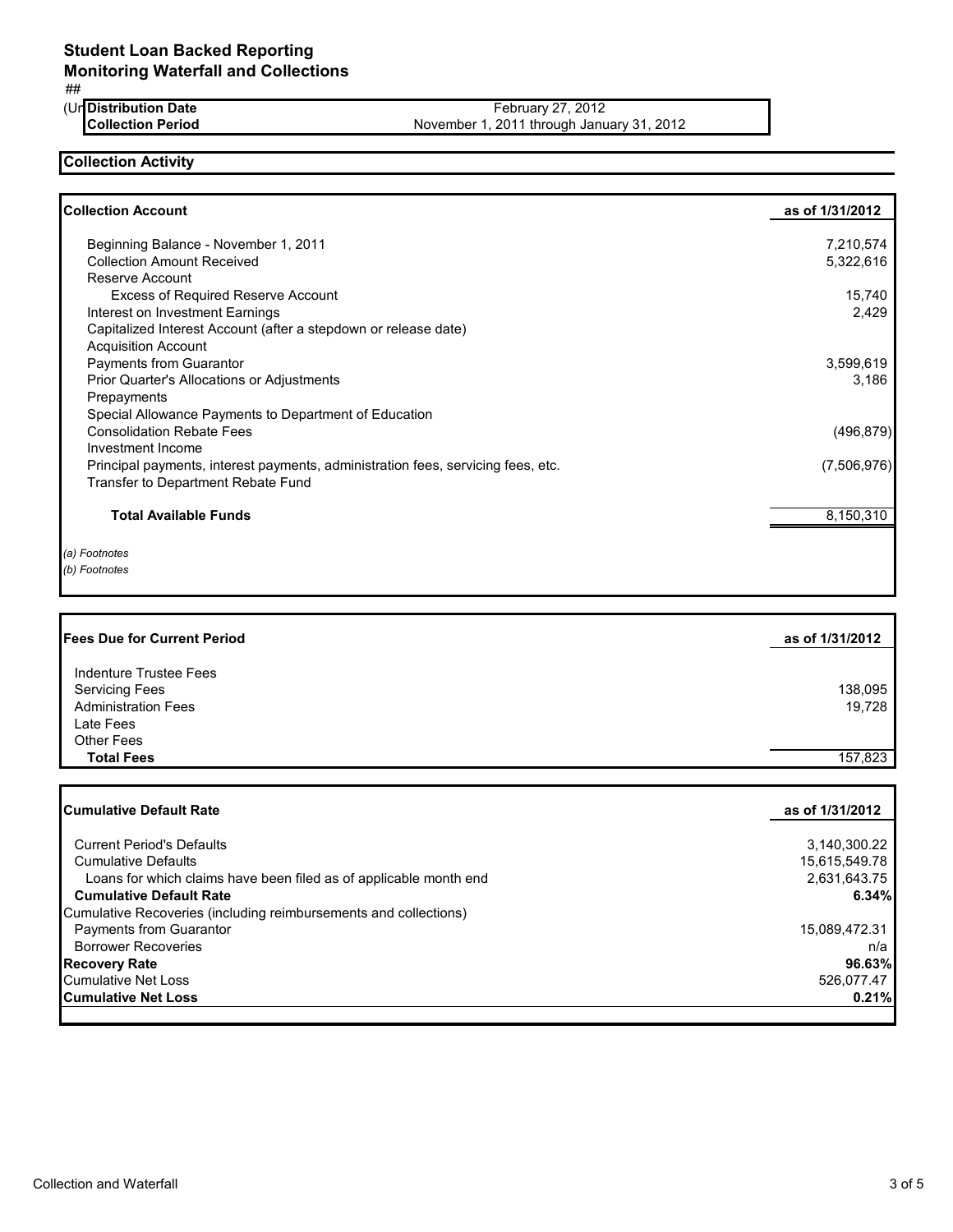### ##

(Ur Distribution Date<br>Collection Period

**Distribution Date** February 27, 2012 November 1, 2011 through January 31, 2012

# **Collection Activity**

| <b>Collection Account</b>                                                        | as of 1/31/2012 |
|----------------------------------------------------------------------------------|-----------------|
| Beginning Balance - November 1, 2011                                             | 7,210,574       |
| <b>Collection Amount Received</b>                                                | 5,322,616       |
| Reserve Account                                                                  |                 |
| <b>Excess of Required Reserve Account</b>                                        | 15,740          |
| Interest on Investment Earnings                                                  | 2,429           |
| Capitalized Interest Account (after a stepdown or release date)                  |                 |
| <b>Acquisition Account</b>                                                       |                 |
| <b>Payments from Guarantor</b>                                                   | 3,599,619       |
| Prior Quarter's Allocations or Adjustments                                       | 3,186           |
| Prepayments                                                                      |                 |
| Special Allowance Payments to Department of Education                            |                 |
| <b>Consolidation Rebate Fees</b>                                                 | (496, 879)      |
| Investment Income                                                                |                 |
| Principal payments, interest payments, administration fees, servicing fees, etc. | (7,506,976)     |
| Transfer to Department Rebate Fund                                               |                 |
| <b>Total Available Funds</b>                                                     | 8,150,310       |
| (a) Footnotes                                                                    |                 |
| (b) Footnotes                                                                    |                 |

| <b>Fees Due for Current Period</b> | as of 1/31/2012 |
|------------------------------------|-----------------|
| Indenture Trustee Fees             |                 |
| <b>Servicing Fees</b>              | 138,095         |
| <b>Administration Fees</b>         | 19.728          |
| Late Fees                          |                 |
| <b>Other Fees</b>                  |                 |
| <b>Total Fees</b>                  | 157.823         |

| <b>Cumulative Default Rate</b>                                    | as of 1/31/2012 |
|-------------------------------------------------------------------|-----------------|
|                                                                   |                 |
| <b>Current Period's Defaults</b>                                  | 3,140,300.22    |
| <b>Cumulative Defaults</b>                                        | 15,615,549.78   |
| Loans for which claims have been filed as of applicable month end | 2,631,643.75    |
| <b>Cumulative Default Rate</b>                                    | 6.34%           |
| Cumulative Recoveries (including reimbursements and collections)  |                 |
| Payments from Guarantor                                           | 15,089,472.31   |
| <b>Borrower Recoveries</b>                                        | n/a             |
| <b>Recovery Rate</b>                                              | 96.63%          |
| <b>Cumulative Net Loss</b>                                        | 526.077.47      |
| <b>Cumulative Net Loss</b>                                        | 0.21%           |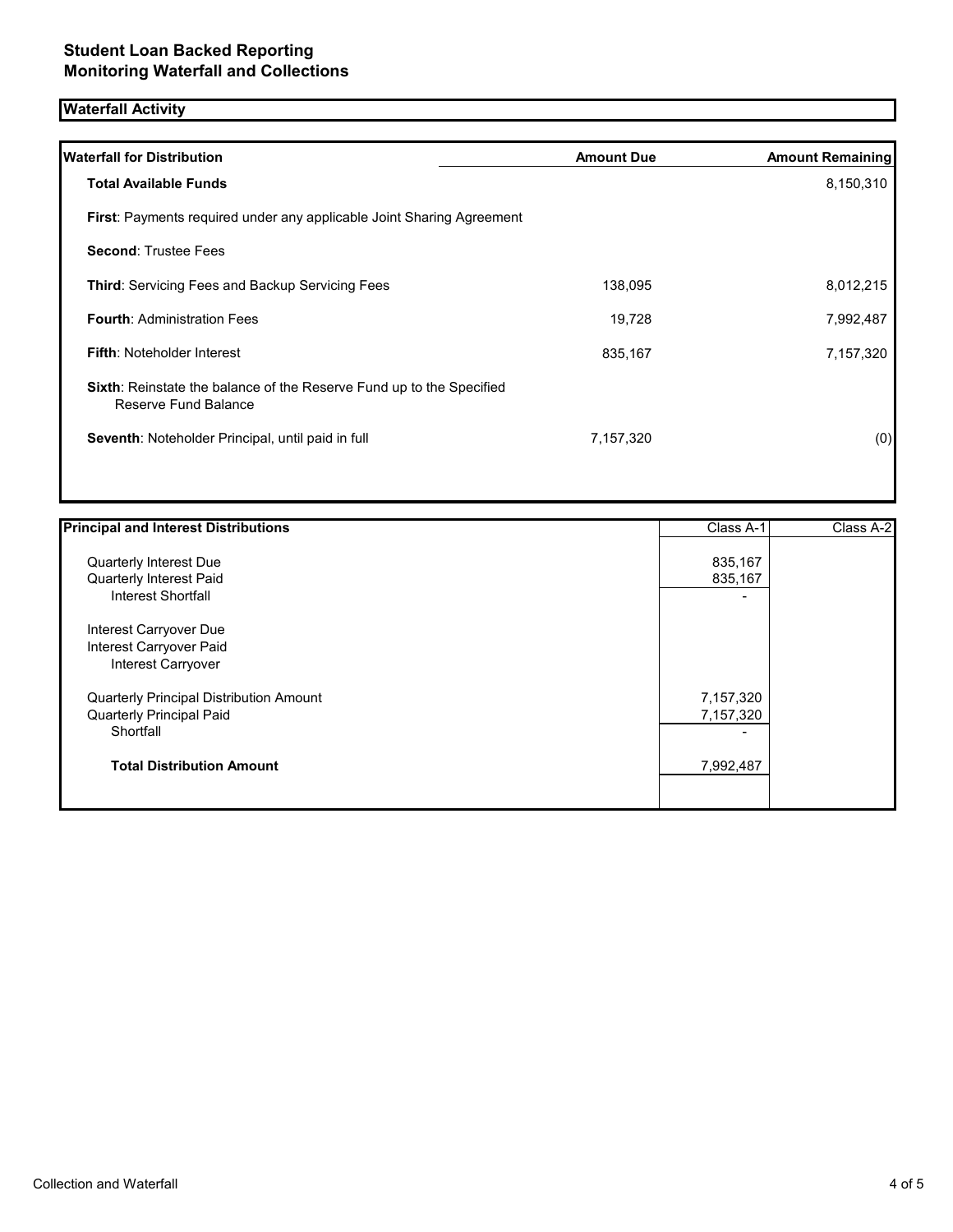# **Waterfall Activity**

| <b>Waterfall for Distribution</b>                                                                   | <b>Amount Due</b> | <b>Amount Remaining</b> |
|-----------------------------------------------------------------------------------------------------|-------------------|-------------------------|
| <b>Total Available Funds</b>                                                                        |                   | 8,150,310               |
| <b>First: Payments required under any applicable Joint Sharing Agreement</b>                        |                   |                         |
| <b>Second: Trustee Fees</b>                                                                         |                   |                         |
| <b>Third: Servicing Fees and Backup Servicing Fees</b>                                              | 138,095           | 8,012,215               |
| <b>Fourth: Administration Fees</b>                                                                  | 19,728            | 7,992,487               |
| <b>Fifth: Noteholder Interest</b>                                                                   | 835,167           | 7,157,320               |
| <b>Sixth:</b> Reinstate the balance of the Reserve Fund up to the Specified<br>Reserve Fund Balance |                   |                         |
| Seventh: Noteholder Principal, until paid in full                                                   | 7,157,320         | (0)                     |
|                                                                                                     |                   |                         |

| 835,167<br><b>Quarterly Interest Due</b><br>835,167<br>Quarterly Interest Paid<br>Interest Shortfall<br>Interest Carryover Due<br>Interest Carryover Paid | Class A-2 |
|-----------------------------------------------------------------------------------------------------------------------------------------------------------|-----------|
|                                                                                                                                                           |           |
|                                                                                                                                                           |           |
|                                                                                                                                                           |           |
|                                                                                                                                                           |           |
|                                                                                                                                                           |           |
| Interest Carryover                                                                                                                                        |           |
| 7,157,320<br>Quarterly Principal Distribution Amount                                                                                                      |           |
| 7,157,320<br>Quarterly Principal Paid                                                                                                                     |           |
| Shortfall                                                                                                                                                 |           |
| <b>Total Distribution Amount</b><br>7,992,487                                                                                                             |           |
|                                                                                                                                                           |           |